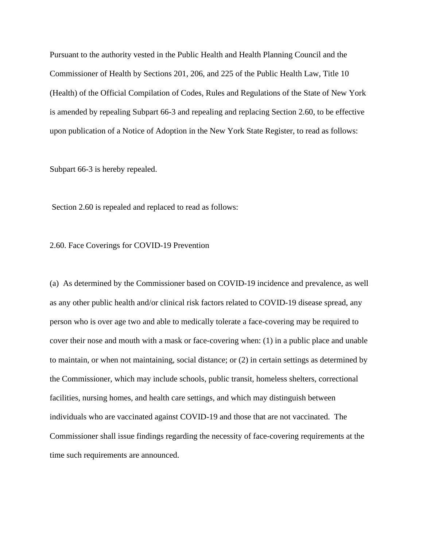Pursuant to the authority vested in the Public Health and Health Planning Council and the Commissioner of Health by Sections 201, 206, and 225 of the Public Health Law, Title 10 (Health) of the Official Compilation of Codes, Rules and Regulations of the State of New York is amended by repealing Subpart 66-3 and repealing and replacing Section 2.60, to be effective upon publication of a Notice of Adoption in the New York State Register, to read as follows:

Subpart 66-3 is hereby repealed.

Section 2.60 is repealed and replaced to read as follows:

2.60. Face Coverings for COVID-19 Prevention

(a) As determined by the Commissioner based on COVID-19 incidence and prevalence, as well as any other public health and/or clinical risk factors related to COVID-19 disease spread, any person who is over age two and able to medically tolerate a face-covering may be required to cover their nose and mouth with a mask or face-covering when: (1) in a public place and unable to maintain, or when not maintaining, social distance; or (2) in certain settings as determined by the Commissioner, which may include schools, public transit, homeless shelters, correctional facilities, nursing homes, and health care settings, and which may distinguish between individuals who are vaccinated against COVID-19 and those that are not vaccinated. The Commissioner shall issue findings regarding the necessity of face-covering requirements at the time such requirements are announced.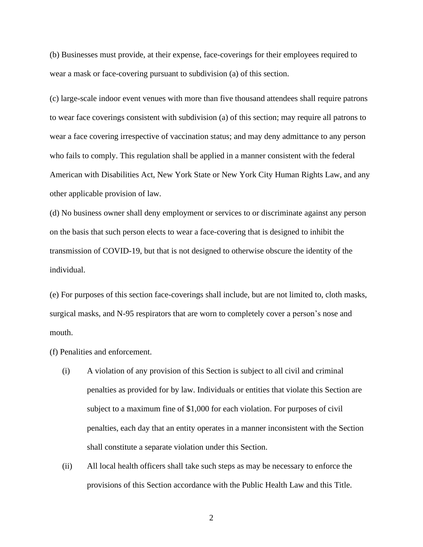(b) Businesses must provide, at their expense, face-coverings for their employees required to wear a mask or face-covering pursuant to subdivision (a) of this section.

(c) large-scale indoor event venues with more than five thousand attendees shall require patrons to wear face coverings consistent with subdivision (a) of this section; may require all patrons to wear a face covering irrespective of vaccination status; and may deny admittance to any person who fails to comply. This regulation shall be applied in a manner consistent with the federal American with Disabilities Act, New York State or New York City Human Rights Law, and any other applicable provision of law.

(d) No business owner shall deny employment or services to or discriminate against any person on the basis that such person elects to wear a face-covering that is designed to inhibit the transmission of COVID-19, but that is not designed to otherwise obscure the identity of the individual.

(e) For purposes of this section face-coverings shall include, but are not limited to, cloth masks, surgical masks, and N-95 respirators that are worn to completely cover a person's nose and mouth.

(f) Penalities and enforcement.

- (i) A violation of any provision of this Section is subject to all civil and criminal penalties as provided for by law. Individuals or entities that violate this Section are subject to a maximum fine of \$1,000 for each violation. For purposes of civil penalties, each day that an entity operates in a manner inconsistent with the Section shall constitute a separate violation under this Section.
- (ii) All local health officers shall take such steps as may be necessary to enforce the provisions of this Section accordance with the Public Health Law and this Title.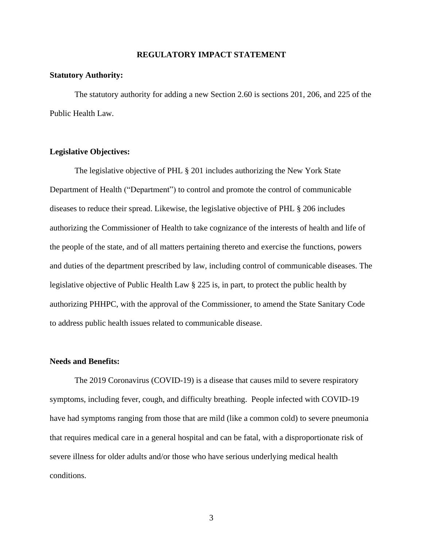#### **REGULATORY IMPACT STATEMENT**

#### **Statutory Authority:**

The statutory authority for adding a new Section 2.60 is sections 201, 206, and 225 of the Public Health Law.

#### **Legislative Objectives:**

The legislative objective of PHL § 201 includes authorizing the New York State Department of Health ("Department") to control and promote the control of communicable diseases to reduce their spread. Likewise, the legislative objective of PHL § 206 includes authorizing the Commissioner of Health to take cognizance of the interests of health and life of the people of the state, and of all matters pertaining thereto and exercise the functions, powers and duties of the department prescribed by law, including control of communicable diseases. The legislative objective of Public Health Law § 225 is, in part, to protect the public health by authorizing PHHPC, with the approval of the Commissioner, to amend the State Sanitary Code to address public health issues related to communicable disease.

### **Needs and Benefits:**

The 2019 Coronavirus (COVID-19) is a disease that causes mild to severe respiratory symptoms, including fever, cough, and difficulty breathing. People infected with COVID-19 have had symptoms ranging from those that are mild (like a common cold) to severe pneumonia that requires medical care in a general hospital and can be fatal, with a disproportionate risk of severe illness for older adults and/or those who have serious underlying medical health conditions.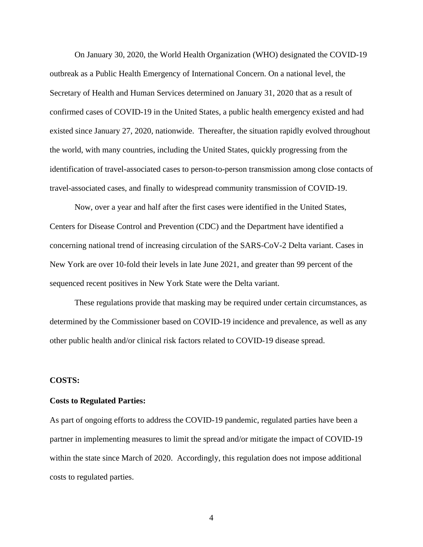On January 30, 2020, the World Health Organization (WHO) designated the COVID-19 outbreak as a Public Health Emergency of International Concern. On a national level, the Secretary of Health and Human Services determined on January 31, 2020 that as a result of confirmed cases of COVID-19 in the United States, a public health emergency existed and had existed since January 27, 2020, nationwide. Thereafter, the situation rapidly evolved throughout the world, with many countries, including the United States, quickly progressing from the identification of travel-associated cases to person-to-person transmission among close contacts of travel-associated cases, and finally to widespread community transmission of COVID-19.

Now, over a year and half after the first cases were identified in the United States, Centers for Disease Control and Prevention (CDC) and the Department have identified a concerning national trend of increasing circulation of the SARS-CoV-2 Delta variant. Cases in New York are over 10-fold their levels in late June 2021, and greater than 99 percent of the sequenced recent positives in New York State were the Delta variant.

These regulations provide that masking may be required under certain circumstances, as determined by the Commissioner based on COVID-19 incidence and prevalence, as well as any other public health and/or clinical risk factors related to COVID-19 disease spread.

#### **COSTS:**

#### **Costs to Regulated Parties:**

As part of ongoing efforts to address the COVID-19 pandemic, regulated parties have been a partner in implementing measures to limit the spread and/or mitigate the impact of COVID-19 within the state since March of 2020. Accordingly, this regulation does not impose additional costs to regulated parties.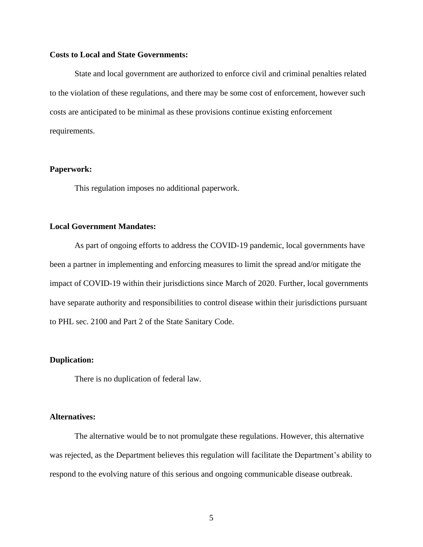#### **Costs to Local and State Governments:**

State and local government are authorized to enforce civil and criminal penalties related to the violation of these regulations, and there may be some cost of enforcement, however such costs are anticipated to be minimal as these provisions continue existing enforcement requirements.

#### **Paperwork:**

This regulation imposes no additional paperwork.

#### **Local Government Mandates:**

As part of ongoing efforts to address the COVID-19 pandemic, local governments have been a partner in implementing and enforcing measures to limit the spread and/or mitigate the impact of COVID-19 within their jurisdictions since March of 2020. Further, local governments have separate authority and responsibilities to control disease within their jurisdictions pursuant to PHL sec. 2100 and Part 2 of the State Sanitary Code.

#### **Duplication:**

There is no duplication of federal law.

#### **Alternatives:**

The alternative would be to not promulgate these regulations. However, this alternative was rejected, as the Department believes this regulation will facilitate the Department's ability to respond to the evolving nature of this serious and ongoing communicable disease outbreak.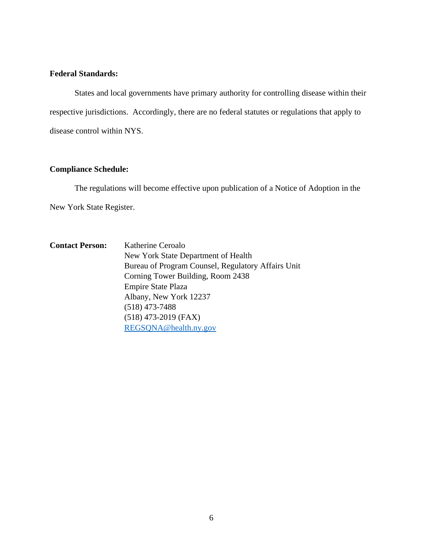## **Federal Standards:**

States and local governments have primary authority for controlling disease within their respective jurisdictions. Accordingly, there are no federal statutes or regulations that apply to disease control within NYS.

## **Compliance Schedule:**

The regulations will become effective upon publication of a Notice of Adoption in the New York State Register.

**Contact Person:** Katherine Ceroalo New York State Department of Health Bureau of Program Counsel, Regulatory Affairs Unit Corning Tower Building, Room 2438 Empire State Plaza Albany, New York 12237 (518) 473-7488 (518) 473-2019 (FAX) [REGSQNA@health.ny.gov](mailto:REGSQNA@health.ny.gov)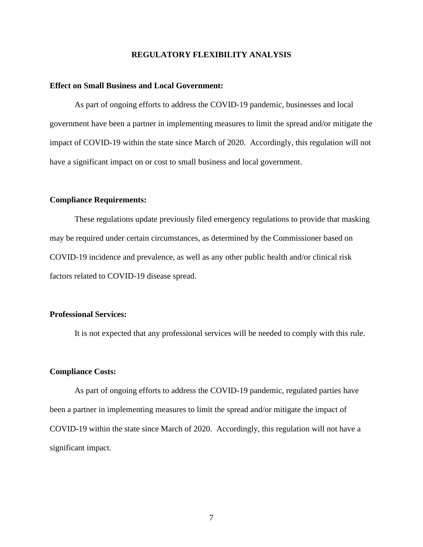#### **REGULATORY FLEXIBILITY ANALYSIS**

#### **Effect on Small Business and Local Government:**

As part of ongoing efforts to address the COVID-19 pandemic, businesses and local government have been a partner in implementing measures to limit the spread and/or mitigate the impact of COVID-19 within the state since March of 2020. Accordingly, this regulation will not have a significant impact on or cost to small business and local government.

#### **Compliance Requirements:**

These regulations update previously filed emergency regulations to provide that masking may be required under certain circumstances, as determined by the Commissioner based on COVID-19 incidence and prevalence, as well as any other public health and/or clinical risk factors related to COVID-19 disease spread.

#### **Professional Services:**

It is not expected that any professional services will be needed to comply with this rule.

#### **Compliance Costs:**

As part of ongoing efforts to address the COVID-19 pandemic, regulated parties have been a partner in implementing measures to limit the spread and/or mitigate the impact of COVID-19 within the state since March of 2020. Accordingly, this regulation will not have a significant impact.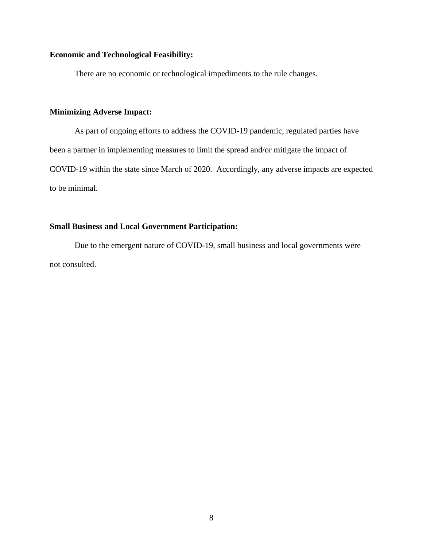## **Economic and Technological Feasibility:**

There are no economic or technological impediments to the rule changes.

## **Minimizing Adverse Impact:**

As part of ongoing efforts to address the COVID-19 pandemic, regulated parties have been a partner in implementing measures to limit the spread and/or mitigate the impact of COVID-19 within the state since March of 2020. Accordingly, any adverse impacts are expected to be minimal.

## **Small Business and Local Government Participation:**

Due to the emergent nature of COVID-19, small business and local governments were not consulted.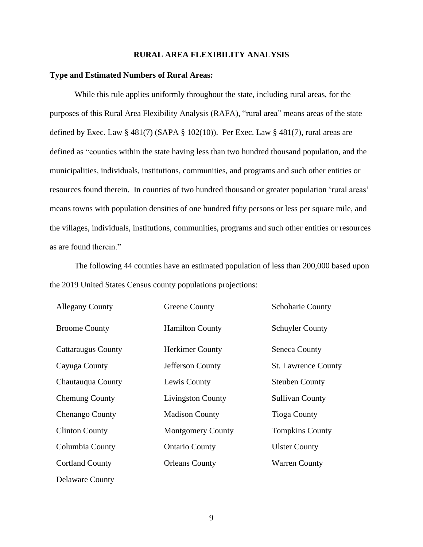#### **RURAL AREA FLEXIBILITY ANALYSIS**

#### **Type and Estimated Numbers of Rural Areas:**

While this rule applies uniformly throughout the state, including rural areas, for the purposes of this Rural Area Flexibility Analysis (RAFA), "rural area" means areas of the state defined by Exec. Law  $\S$  481(7) (SAPA  $\S$  102(10)). Per Exec. Law  $\S$  481(7), rural areas are defined as "counties within the state having less than two hundred thousand population, and the municipalities, individuals, institutions, communities, and programs and such other entities or resources found therein. In counties of two hundred thousand or greater population 'rural areas' means towns with population densities of one hundred fifty persons or less per square mile, and the villages, individuals, institutions, communities, programs and such other entities or resources as are found therein."

The following 44 counties have an estimated population of less than 200,000 based upon the 2019 United States Census county populations projections:

| <b>Allegany County</b>    | Greene County            | <b>Schoharie County</b>    |
|---------------------------|--------------------------|----------------------------|
| <b>Broome County</b>      | <b>Hamilton County</b>   | <b>Schuyler County</b>     |
| <b>Cattaraugus County</b> | <b>Herkimer County</b>   | Seneca County              |
| Cayuga County             | Jefferson County         | <b>St. Lawrence County</b> |
| Chautauqua County         | Lewis County             | <b>Steuben County</b>      |
| <b>Chemung County</b>     | <b>Livingston County</b> | <b>Sullivan County</b>     |
| Chenango County           | <b>Madison County</b>    | <b>Tioga County</b>        |
| <b>Clinton County</b>     | <b>Montgomery County</b> | <b>Tompkins County</b>     |
| Columbia County           | <b>Ontario County</b>    | <b>Ulster County</b>       |
| <b>Cortland County</b>    | <b>Orleans County</b>    | <b>Warren County</b>       |
| Delaware County           |                          |                            |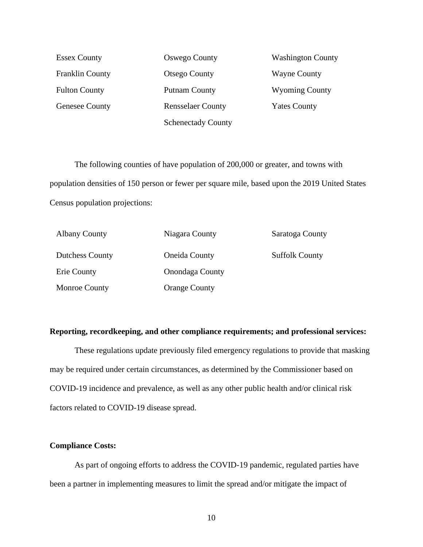Franklin County **Otsego County** Wayne County Fulton County **Putnam County** Wyoming County Genesee County **Rensselaer County Yates County** Schenectady County

Essex County Oswego County Washington County

The following counties of have population of 200,000 or greater, and towns with population densities of 150 person or fewer per square mile, based upon the 2019 United States Census population projections:

| <b>Albany County</b>   | Niagara County         | Saratoga County       |
|------------------------|------------------------|-----------------------|
| <b>Dutchess County</b> | <b>Oneida County</b>   | <b>Suffolk County</b> |
| Erie County            | <b>Onondaga County</b> |                       |
| <b>Monroe County</b>   | <b>Orange County</b>   |                       |

#### **Reporting, recordkeeping, and other compliance requirements; and professional services:**

These regulations update previously filed emergency regulations to provide that masking may be required under certain circumstances, as determined by the Commissioner based on COVID-19 incidence and prevalence, as well as any other public health and/or clinical risk factors related to COVID-19 disease spread.

#### **Compliance Costs:**

As part of ongoing efforts to address the COVID-19 pandemic, regulated parties have been a partner in implementing measures to limit the spread and/or mitigate the impact of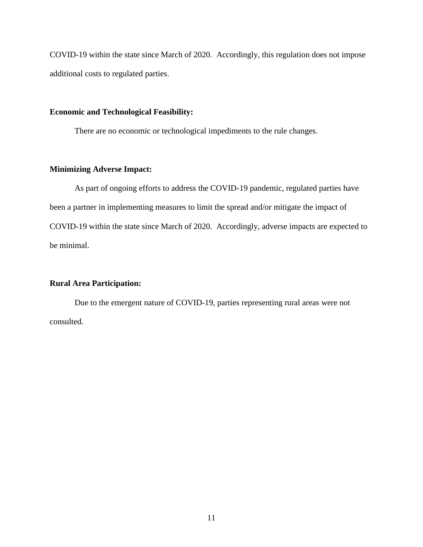COVID-19 within the state since March of 2020. Accordingly, this regulation does not impose additional costs to regulated parties.

## **Economic and Technological Feasibility:**

There are no economic or technological impediments to the rule changes.

## **Minimizing Adverse Impact:**

As part of ongoing efforts to address the COVID-19 pandemic, regulated parties have been a partner in implementing measures to limit the spread and/or mitigate the impact of COVID-19 within the state since March of 2020. Accordingly, adverse impacts are expected to be minimal.

### **Rural Area Participation:**

Due to the emergent nature of COVID-19, parties representing rural areas were not consulted.